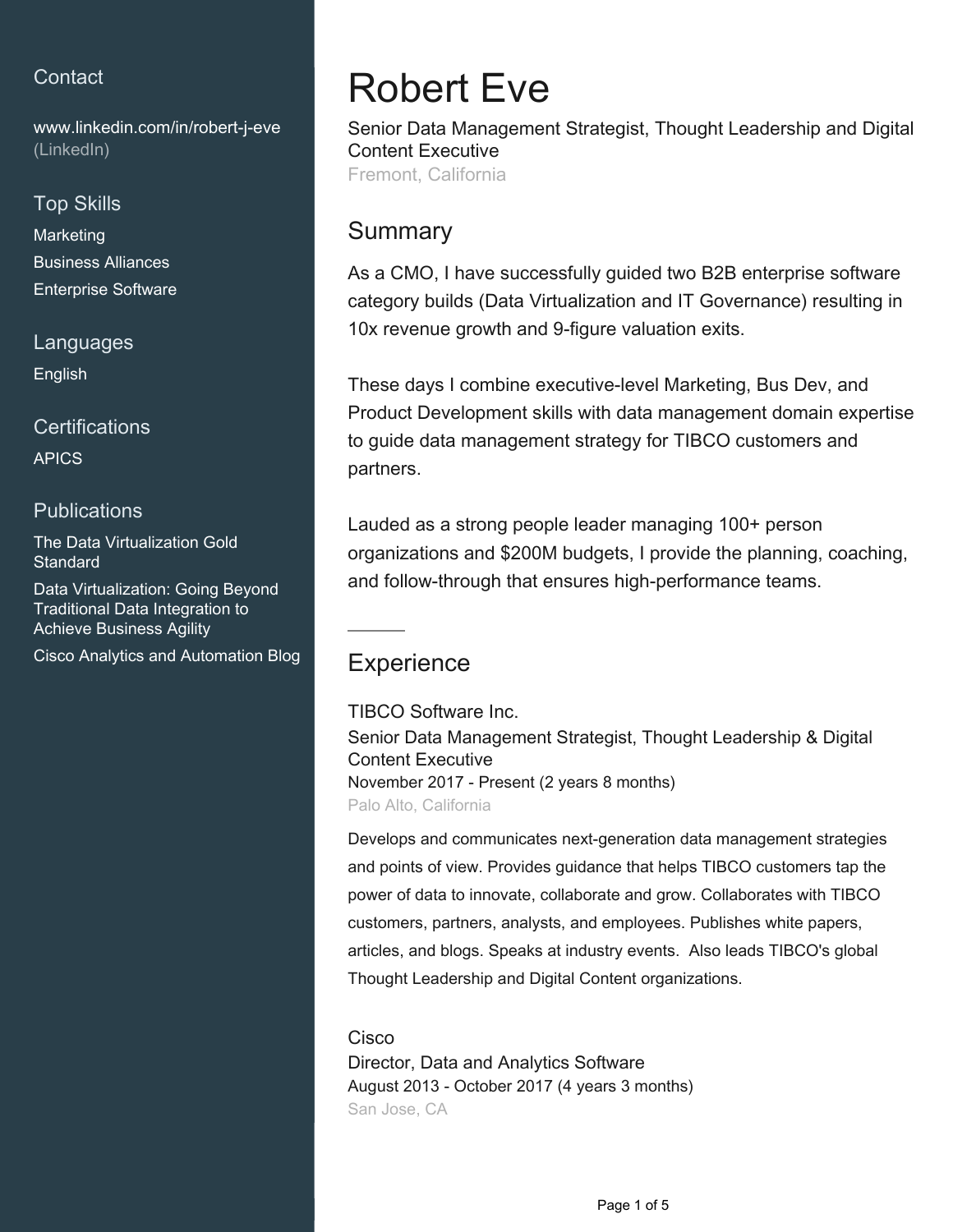## **Contact**

[www.linkedin.com/in/robert-j-eve](https://www.linkedin.com/in/robert-j-eve?jobid=1234&lipi=urn%3Ali%3Apage%3Ad_jobs_easyapply_pdfgenresume%3BYvYgTL1zQDqiS1bh%2FHo6Ow%3D%3D&licu=urn%3Ali%3Acontrol%3Ad_jobs_easyapply_pdfgenresume-v02_profile) [\(LinkedIn\)](https://www.linkedin.com/in/robert-j-eve?jobid=1234&lipi=urn%3Ali%3Apage%3Ad_jobs_easyapply_pdfgenresume%3BYvYgTL1zQDqiS1bh%2FHo6Ow%3D%3D&licu=urn%3Ali%3Acontrol%3Ad_jobs_easyapply_pdfgenresume-v02_profile)

#### Top Skills

**Marketing** Business Alliances Enterprise Software

Languages

English

**Certifications** 

APICS

### **Publications**

The Data Virtualization Gold **Standard** 

Data Virtualization: Going Beyond Traditional Data Integration to Achieve Business Agility

Cisco Analytics and Automation Blog

# Robert Eve

Senior Data Management Strategist, Thought Leadership and Digital Content Executive

Fremont, California

## Summary

As a CMO, I have successfully guided two B2B enterprise software category builds (Data Virtualization and IT Governance) resulting in 10x revenue growth and 9-figure valuation exits.

These days I combine executive-level Marketing, Bus Dev, and Product Development skills with data management domain expertise to guide data management strategy for TIBCO customers and partners.

Lauded as a strong people leader managing 100+ person organizations and \$200M budgets, I provide the planning, coaching, and follow-through that ensures high-performance teams.

# **Experience**

TIBCO Software Inc. Senior Data Management Strategist, Thought Leadership & Digital Content Executive November 2017 - Present (2 years 8 months) Palo Alto, California

Develops and communicates next-generation data management strategies and points of view. Provides guidance that helps TIBCO customers tap the power of data to innovate, collaborate and grow. Collaborates with TIBCO customers, partners, analysts, and employees. Publishes white papers, articles, and blogs. Speaks at industry events. Also leads TIBCO's global Thought Leadership and Digital Content organizations.

## **Cisco**

Director, Data and Analytics Software August 2013 - October 2017 (4 years 3 months) San Jose, CA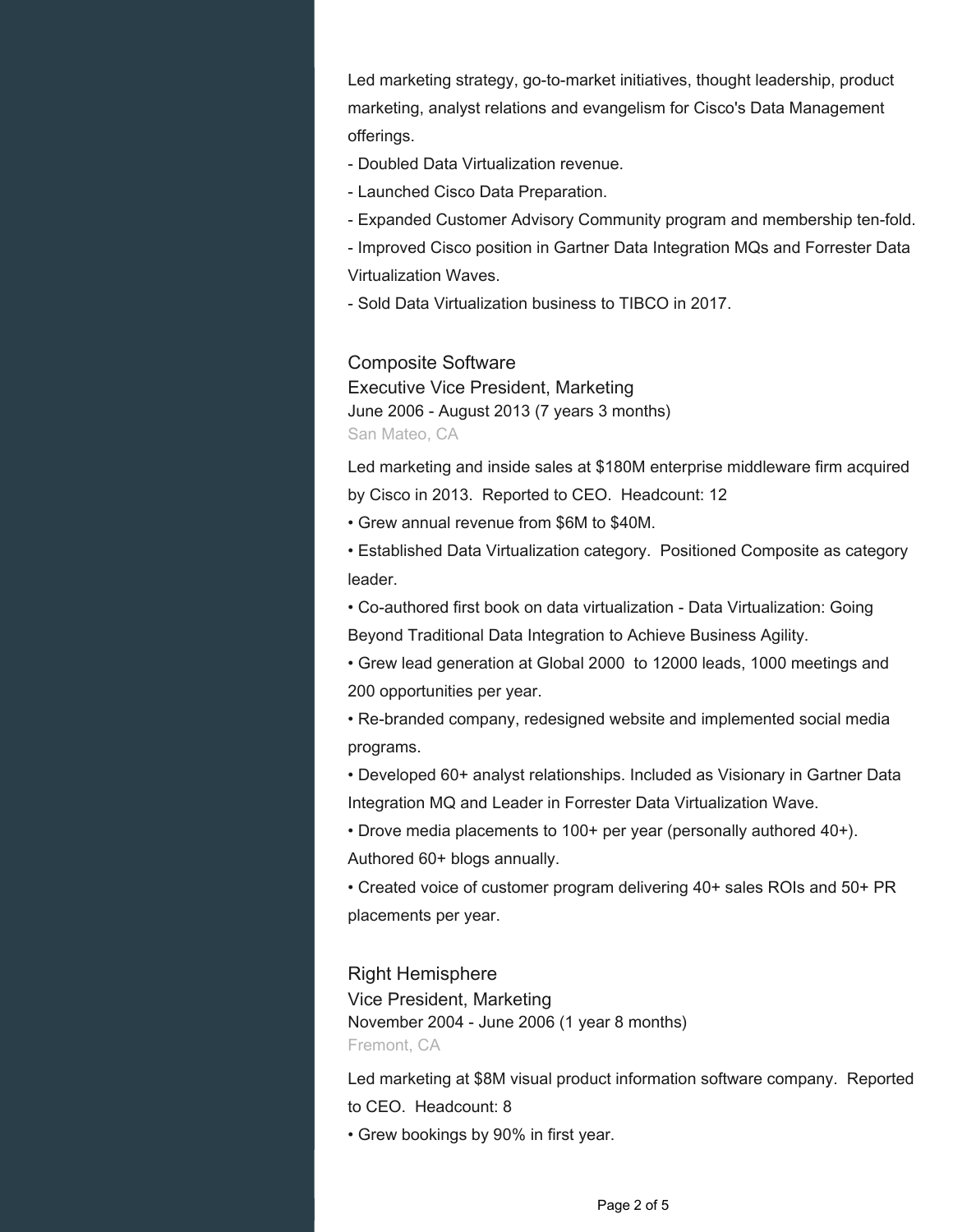Led marketing strategy, go-to-market initiatives, thought leadership, product marketing, analyst relations and evangelism for Cisco's Data Management offerings.

- Doubled Data Virtualization revenue.

- Launched Cisco Data Preparation.

- Expanded Customer Advisory Community program and membership ten-fold.

- Improved Cisco position in Gartner Data Integration MQs and Forrester Data Virtualization Waves.

- Sold Data Virtualization business to TIBCO in 2017.

Composite Software

Executive Vice President, Marketing June 2006 - August 2013 (7 years 3 months) San Mateo, CA

Led marketing and inside sales at \$180M enterprise middleware firm acquired by Cisco in 2013. Reported to CEO. Headcount: 12

• Grew annual revenue from \$6M to \$40M.

• Established Data Virtualization category. Positioned Composite as category leader.

• Co-authored first book on data virtualization - Data Virtualization: Going Beyond Traditional Data Integration to Achieve Business Agility.

• Grew lead generation at Global 2000 to 12000 leads, 1000 meetings and 200 opportunities per year.

• Re-branded company, redesigned website and implemented social media programs.

• Developed 60+ analyst relationships. Included as Visionary in Gartner Data Integration MQ and Leader in Forrester Data Virtualization Wave.

• Drove media placements to 100+ per year (personally authored 40+).

Authored 60+ blogs annually.

• Created voice of customer program delivering 40+ sales ROIs and 50+ PR placements per year.

Right Hemisphere Vice President, Marketing November 2004 - June 2006 (1 year 8 months) Fremont, CA

Led marketing at \$8M visual product information software company. Reported to CEO. Headcount: 8

• Grew bookings by 90% in first year.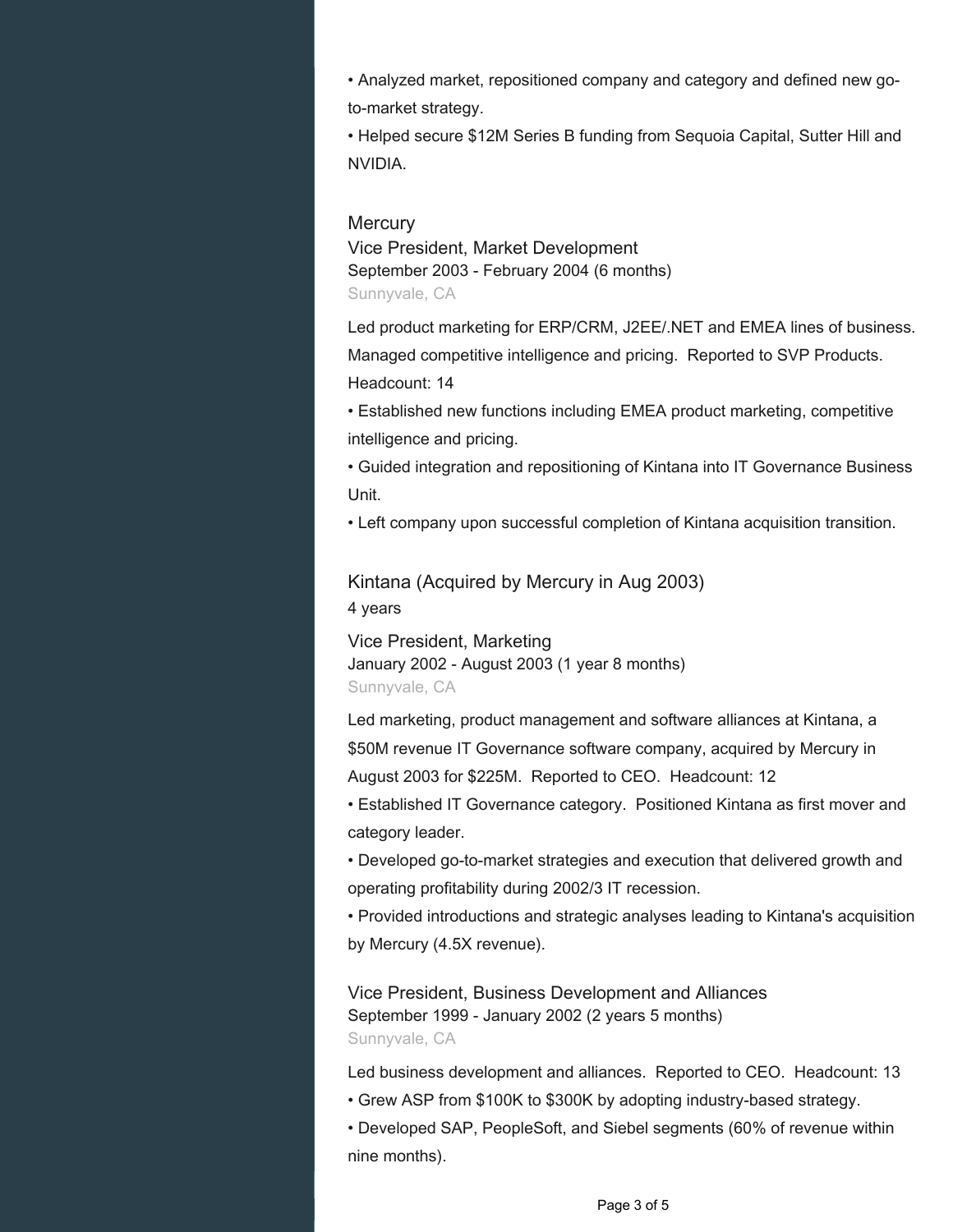• Analyzed market, repositioned company and category and defined new goto-market strategy.

• Helped secure \$12M Series B funding from Sequoia Capital, Sutter Hill and NVIDIA.

#### **Mercury**

Vice President, Market Development September 2003 - February 2004 (6 months) Sunnyvale, CA

Led product marketing for ERP/CRM, J2EE/.NET and EMEA lines of business. Managed competitive intelligence and pricing. Reported to SVP Products. Headcount: 14

• Established new functions including EMEA product marketing, competitive intelligence and pricing.

• Guided integration and repositioning of Kintana into IT Governance Business Unit.

• Left company upon successful completion of Kintana acquisition transition.

Kintana (Acquired by Mercury in Aug 2003) 4 years

Vice President, Marketing January 2002 - August 2003 (1 year 8 months) Sunnyvale, CA

Led marketing, product management and software alliances at Kintana, a \$50M revenue IT Governance software company, acquired by Mercury in August 2003 for \$225M. Reported to CEO. Headcount: 12

• Established IT Governance category. Positioned Kintana as first mover and category leader.

• Developed go-to-market strategies and execution that delivered growth and operating profitability during 2002/3 IT recession.

• Provided introductions and strategic analyses leading to Kintana's acquisition by Mercury (4.5X revenue).

Vice President, Business Development and Alliances September 1999 - January 2002 (2 years 5 months) Sunnyvale, CA

Led business development and alliances. Reported to CEO. Headcount: 13

• Grew ASP from \$100K to \$300K by adopting industry-based strategy.

• Developed SAP, PeopleSoft, and Siebel segments (60% of revenue within nine months).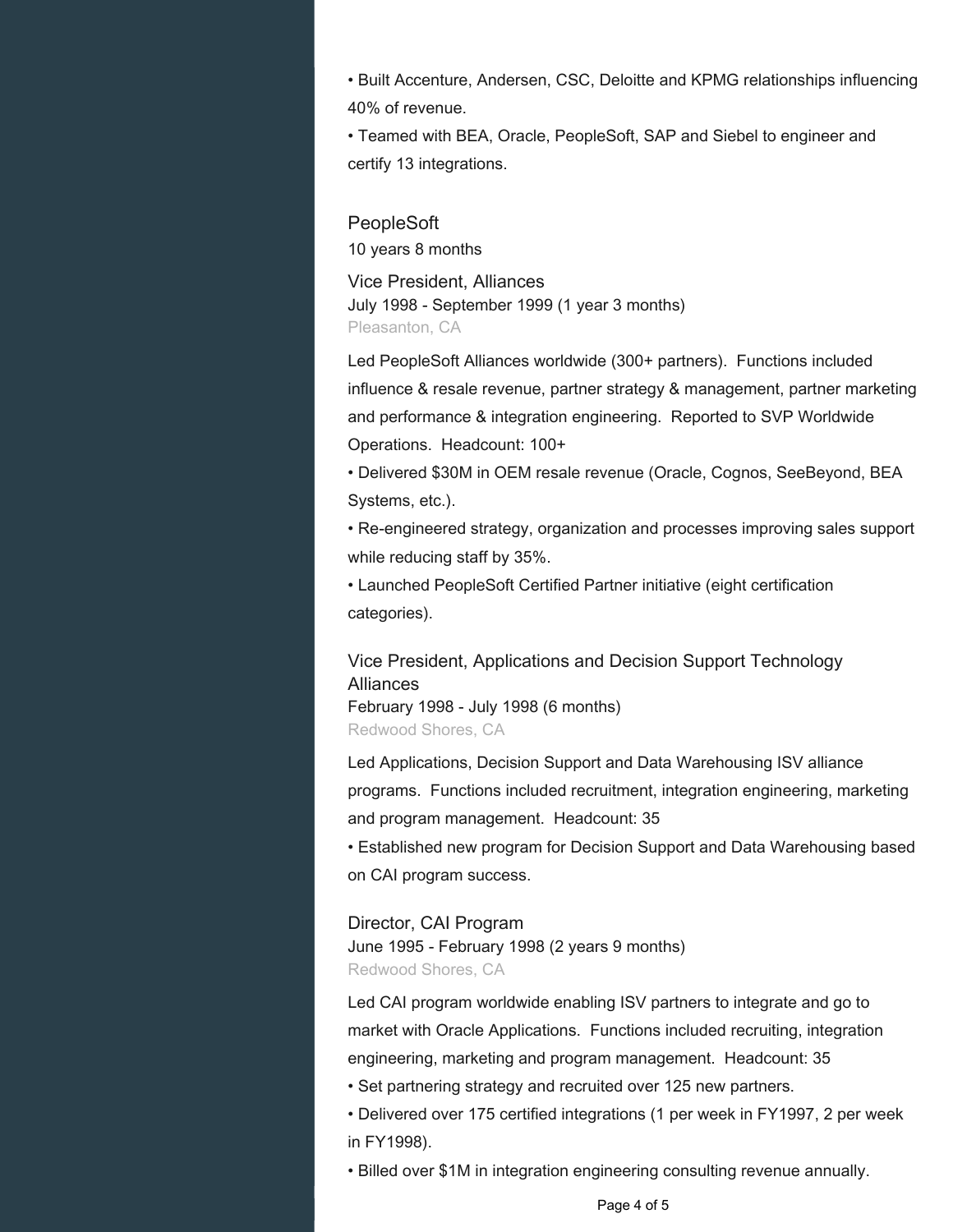• Built Accenture, Andersen, CSC, Deloitte and KPMG relationships influencing 40% of revenue.

• Teamed with BEA, Oracle, PeopleSoft, SAP and Siebel to engineer and certify 13 integrations.

#### **PeopleSoft**

10 years 8 months

Vice President, Alliances July 1998 - September 1999 (1 year 3 months) Pleasanton, CA

Led PeopleSoft Alliances worldwide (300+ partners). Functions included influence & resale revenue, partner strategy & management, partner marketing and performance & integration engineering. Reported to SVP Worldwide Operations. Headcount: 100+

• Delivered \$30M in OEM resale revenue (Oracle, Cognos, SeeBeyond, BEA Systems, etc.).

• Re-engineered strategy, organization and processes improving sales support while reducing staff by 35%.

• Launched PeopleSoft Certified Partner initiative (eight certification categories).

Vice President, Applications and Decision Support Technology **Alliances** February 1998 - July 1998 (6 months)

Redwood Shores, CA

Led Applications, Decision Support and Data Warehousing ISV alliance programs. Functions included recruitment, integration engineering, marketing and program management. Headcount: 35

• Established new program for Decision Support and Data Warehousing based on CAI program success.

#### Director, CAI Program

June 1995 - February 1998 (2 years 9 months) Redwood Shores, CA

Led CAI program worldwide enabling ISV partners to integrate and go to market with Oracle Applications. Functions included recruiting, integration engineering, marketing and program management. Headcount: 35

- Set partnering strategy and recruited over 125 new partners.
- Delivered over 175 certified integrations (1 per week in FY1997, 2 per week in FY1998).
- Billed over \$1M in integration engineering consulting revenue annually.